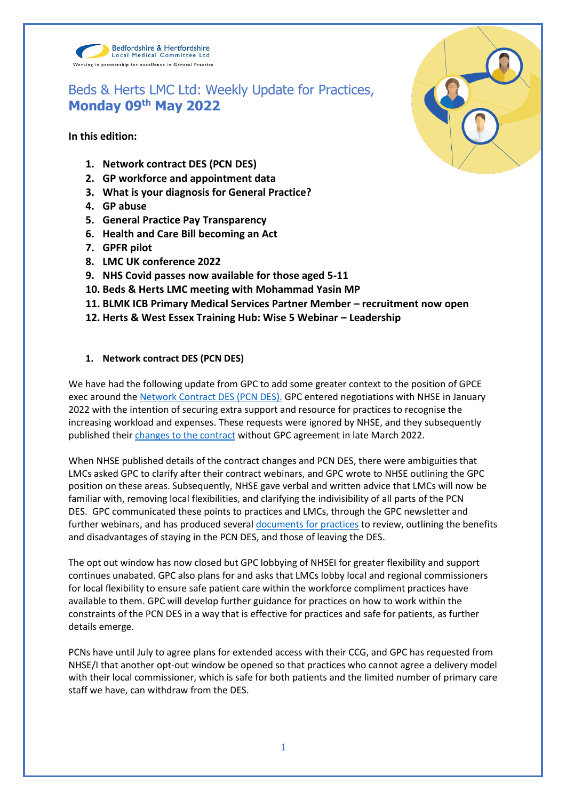

# Beds & Herts LMC Ltd: Weekly Update for Practices, **Monday 09th May 2022**

**In this edition:**

- **1. Network contract DES (PCN DES)**
- **2. GP workforce and appointment data**
- **3. What is your diagnosis for General Practice?**
- **4. GP abuse**
- **5. General Practice Pay Transparency**
- **6. Health and Care Bill becoming an Act**
- **7. GPFR pilot**
- **8. LMC UK conference 2022**
- **9. NHS Covid passes now available for those aged 5-11**
- **10. Beds & Herts LMC meeting with Mohammad Yasin MP**
- **11. BLMK ICB Primary Medical Services Partner Member – recruitment now open**
- **12. Herts & West Essex Training Hub: Wise 5 Webinar – Leadership**

# **1. Network contract DES (PCN DES)**

We have had the following update from GPC to add some greater context to the position of GPCE exec around the [Network Contract DES \(PCN DES\).](https://www.england.nhs.uk/gp/investment/gp-contract/network-contract-directed-enhanced-service-des/) GPC entered negotiations with NHSE in January 2022 with the intention of securing extra support and resource for practices to recognise the increasing workload and expenses. These requests were ignored by NHSE, and they subsequently published their [changes to the contract](https://www.bma.org.uk/pay-and-contracts/contracts/gp-contract/gp-contract-changes-england-202223) without GPC agreement in late March 2022.

When NHSE published details of the contract changes and PCN DES, there were ambiguities that LMCs asked GPC to clarify after their contract webinars, and GPC wrote to NHSE outlining the GPC position on these areas. Subsequently, NHSE gave verbal and written advice that LMCs will now be familiar with, removing local flexibilities, and clarifying the indivisibility of all parts of the PCN DES. GPC communicated these points to practices and LMCs, through the GPC newsletter and further webinars, and has produced several [documents for practices](https://www.bma.org.uk/pay-and-contracts/contracts/gp-contract/gp-contract-changes-england-202223) to review, outlining the benefits and disadvantages of staying in the PCN DES, and those of leaving the DES.

The opt out window has now closed but GPC lobbying of NHSEI for greater flexibility and support continues unabated. GPC also plans for and asks that LMCs lobby local and regional commissioners for local flexibility to ensure safe patient care within the workforce compliment practices have available to them. GPC will develop further guidance for practices on how to work within the constraints of the PCN DES in a way that is effective for practices and safe for patients, as further details emerge.

PCNs have until July to agree plans for extended access with their CCG, and GPC has requested from NHSE/I that another opt-out window be opened so that practices who cannot agree a delivery model with their local commissioner, which is safe for both patients and the limited number of primary care staff we have, can withdraw from the DES.

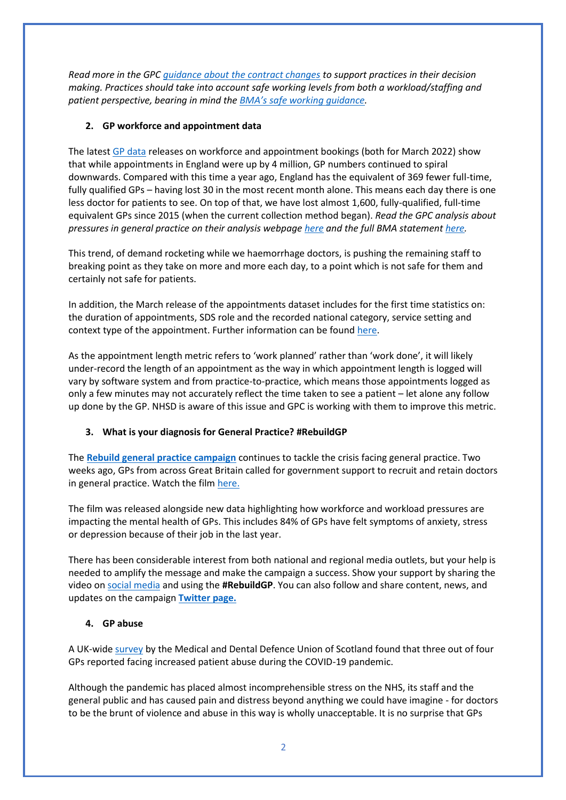*Read more in the GP[C guidance about the contract changes](https://www.bma.org.uk/pay-and-contracts/contracts/gp-contract/gp-contract-changes-england-202223) to support practices in their decision making. Practices should take into account safe working levels from both a workload/staffing and patient perspective, bearing in mind the [BMA's safe working guidance](https://www.bma.org.uk/advice-and-support/gp-practices/managing-workload/safe-working-in-general-practice).*

# **2. GP workforce and appointment data**

The lates[t GP data](https://digital.nhs.uk/data-and-information/publications/statistical/appointments-in-general-practice/march-2022) releases on workforce and appointment bookings (both for March 2022) show that while appointments in England were up by 4 million, GP numbers continued to spiral downwards. Compared with this time a year ago, England has the equivalent of 369 fewer full-time, fully qualified GPs – having lost 30 in the most recent month alone. This means each day there is one less doctor for patients to see. On top of that, we have lost almost 1,600, fully-qualified, full-time equivalent GPs since 2015 (when the current collection method began). *Read the GPC analysis about pressures in general practice on their analysis webpage [here](https://www.bma.org.uk/advice-and-support/nhs-delivery-and-workforce/pressures/pressures-in-general-practice-data-analysis) and the full BMA statemen[t here.](https://www.bma.org.uk/bma-media-centre/millions-more-appointments-with-hundreds-fewer-gps-pushing-doctors-to-breaking-point-says-bma)*

This trend, of demand rocketing while we haemorrhage doctors, is pushing the remaining staff to breaking point as they take on more and more each day, to a point which is not safe for them and certainly not safe for patients.

In addition, the March release of the appointments dataset includes for the first time statistics on: the duration of appointments, SDS role and the recorded national category, service setting and context type of the appointment. Further information can be found [here.](https://digital.nhs.uk/data-and-information/publications/statistical/appointments-in-general-practice/march-2022)

As the appointment length metric refers to 'work planned' rather than 'work done', it will likely under-record the length of an appointment as the way in which appointment length is logged will vary by software system and from practice-to-practice, which means those appointments logged as only a few minutes may not accurately reflect the time taken to see a patient – let alone any follow up done by the GP. NHSD is aware of this issue and GPC is working with them to improve this metric.

# **3. What is your diagnosis for General Practice? #RebuildGP**

The **[Rebuild general practice campaign](https://bma-mail.org.uk/JVX-7T392-G7LO7P-4RBR12-1/c.aspx)** continues to tackle the crisis facing general practice. Two weeks ago, GPs from across Great Britain called for government support to recruit and retain doctors in general practice. Watch the fil[m here.](https://rebuildgp.co.uk/campaign-assets/video-the-diagnosis)

The film was released alongside new data highlighting how workforce and workload pressures are impacting the mental health of GPs. This includes 84% of GPs have felt symptoms of anxiety, stress or depression because of their job in the last year.

There has been considerable interest from both national and regional media outlets, but your help is needed to amplify the message and make the campaign a success. Show your support by sharing the video on [social media](https://twitter.com/rebuildgp) and using the **#RebuildGP**. You can also follow and share content, news, and updates on the campaign **[Twitter page.](https://bma-mail.org.uk/JVX-7T392-G7LO7P-4RBR15-1/c.aspx)**

# **4. GP abuse**

A UK-wide [survey](https://www.mddus.com/about-us/media-centre/2022/april/three-out-of-four-family-doctors-report-facing-increased-patient-abuse?domain=u22810944.ct.sendgrid.net) by the Medical and Dental Defence Union of Scotland found that three out of four GPs reported facing increased patient abuse during the COVID-19 pandemic.

Although the pandemic has placed almost incomprehensible stress on the NHS, its staff and the general public and has caused pain and distress beyond anything we could have imagine - for doctors to be the brunt of violence and abuse in this way is wholly unacceptable. It is no surprise that GPs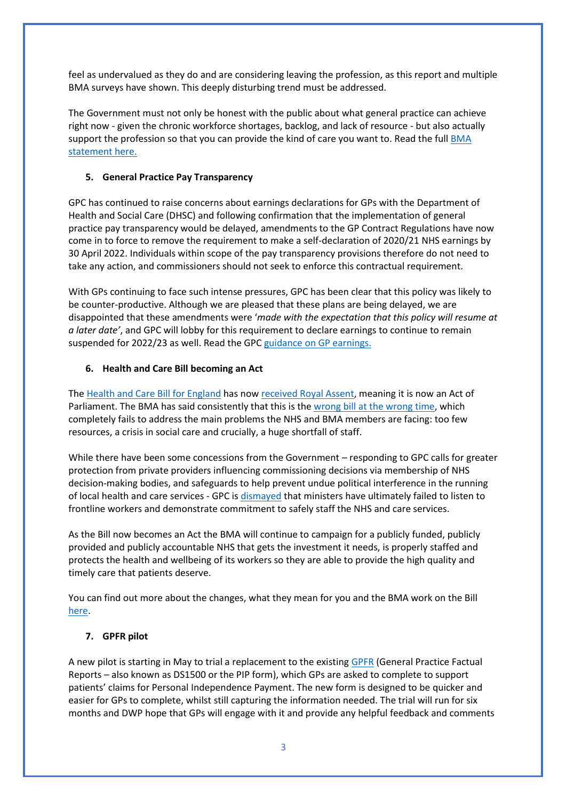feel as undervalued as they do and are considering leaving the profession, as this report and multiple BMA surveys have shown. This deeply disturbing trend must be addressed.

The Government must not only be honest with the public about what general practice can achieve right now - given the chronic workforce shortages, backlog, and lack of resource - but also actually support the profession so that you can provide the kind of care you want to. Read the full BMA [statement](https://www.bma.org.uk/bma-media-centre/patient-abuse-survey-highlights-a-deeply-disturbing-trend-in-general-practice-says-bma) here.

## **5. General Practice Pay Transparency**

GPC has continued to raise concerns about earnings declarations for GPs with the Department of Health and Social Care (DHSC) and following confirmation that the implementation of general practice pay transparency would be delayed, amendments to the GP Contract Regulations have now come in to force to remove the requirement to make a self-declaration of 2020/21 NHS earnings by 30 April 2022. Individuals within scope of the pay transparency provisions therefore do not need to take any action, and commissioners should not seek to enforce this contractual requirement.

With GPs continuing to face such intense pressures, GPC has been clear that this policy was likely to be counter-productive. Although we are pleased that these plans are being delayed, we are disappointed that these amendments were '*made with the expectation that this policy will resume at a later date'*, and GPC will lobby for this requirement to declare earnings to continue to remain suspended for 2022/23 as well. Read the GP[C guidance on GP earnings.](https://www.bma.org.uk/pay-and-contracts/pay/other-doctors-pay/declaring-gp-earnings-over-150-000)

## **6. Health and Care Bill becoming an Act**

The [Health and Care Bill for England](https://www.parliament.uk/business/news/2021/november-2021/lords-debates-health-and-care-bill/) has now [received Royal Assent,](https://www.gov.uk/government/news/health-and-care-bill-granted-royal-assent-in-milestone-for-healthcare-recovery-and-reform) meaning it is now an Act of Parliament. The BMA has said consistently that this is the [wrong bill at the wrong time,](https://www.bma.org.uk/bma-media-centre/wrong-bill-at-the-wrong-time-bma-council-calls-on-mps-to-reject-health-and-care-bill) which completely fails to address the main problems the NHS and BMA members are facing: too few resources, a crisis in social care and crucially, a huge shortfall of staff.

While there have been some concessions from the Government – responding to GPC calls for greater protection from private providers influencing commissioning decisions via membership of NHS decision-making bodies, and safeguards to help prevent undue political interference in the running of local health and care services - GPC is [dismayed](https://www.bma.org.uk/bma-media-centre/bma-utterly-dismayed-as-health-and-care-bill-passes-without-workforce-guarantees) that ministers have ultimately failed to listen to frontline workers and demonstrate commitment to safely staff the NHS and care services.

As the Bill now becomes an Act the BMA will continue to campaign for a publicly funded, publicly provided and publicly accountable NHS that gets the investment it needs, is properly staffed and protects the health and wellbeing of its workers so they are able to provide the high quality and timely care that patients deserve.

You can find out more about the changes, what they mean for you and the BMA work on the Bill [here.](https://www.bma.org.uk/advice-and-support/nhs-delivery-and-workforce/integration/the-health-and-care-act)

### **7. GPFR pilot**

A new pilot is starting in May to trial a replacement to the existin[g GPFR](https://www.gov.uk/government/publications/dwp-factual-medical-reports-guidance-for-healthcare-professionals/dwp-medical-factual-reports-a-guide-to-completion) (General Practice Factual Reports – also known as DS1500 or the PIP form), which GPs are asked to complete to support patients' claims for Personal Independence Payment. The new form is designed to be quicker and easier for GPs to complete, whilst still capturing the information needed. The trial will run for six months and DWP hope that GPs will engage with it and provide any helpful feedback and comments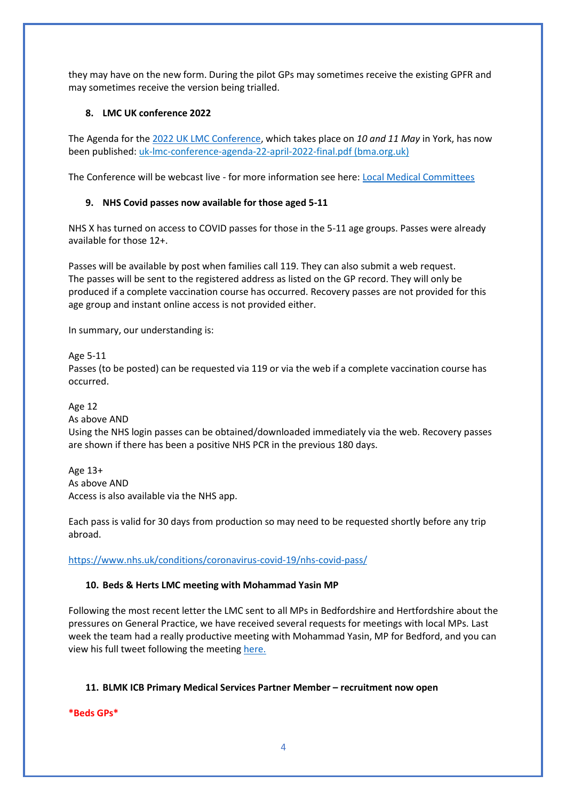they may have on the new form. During the pilot GPs may sometimes receive the existing GPFR and may sometimes receive the version being trialled.

## **8. LMC UK conference 2022**

The Agenda for the [2022 UK LMC Conference,](https://www.bma.org.uk/what-we-do/local-medical-committees) which takes place on *10 and 11 May* in York, has now been published: [uk-lmc-conference-agenda-22-april-2022-final.pdf \(bma.org.uk\)](https://www.bma.org.uk/media/5564/uk-lmc-conference-agenda-22-april-2022-final.pdf)

The Conference will be webcast live - for more information see here: [Local Medical Committees](https://www.bma.org.uk/what-we-do/local-medical-committees)

# **9. NHS Covid passes now available for those aged 5-11**

NHS X has turned on access to COVID passes for those in the 5-11 age groups. Passes were already available for those 12+.

Passes will be available by post when families call 119. They can also submit a web request. The passes will be sent to the registered address as listed on the GP record. They will only be produced if a complete vaccination course has occurred. Recovery passes are not provided for this age group and instant online access is not provided either.

In summary, our understanding is:

Age 5-11 Passes (to be posted) can be requested via 119 or via the web if a complete vaccination course has occurred.

Age 12

As above AND

Using the NHS login passes can be obtained/downloaded immediately via the web. Recovery passes are shown if there has been a positive NHS PCR in the previous 180 days.

Age 13+ As above AND Access is also available via the NHS app.

Each pass is valid for 30 days from production so may need to be requested shortly before any trip abroad.

<https://www.nhs.uk/conditions/coronavirus-covid-19/nhs-covid-pass/>

# **10. Beds & Herts LMC meeting with Mohammad Yasin MP**

Following the most recent letter the LMC sent to all MPs in Bedfordshire and Hertfordshire about the pressures on General Practice, we have received several requests for meetings with local MPs. Last week the team had a really productive meeting with Mohammad Yasin, MP for Bedford, and you can view his full tweet following the meeting [here.](https://twitter.com/YasinForBedford/status/1521882414905278469) 

# **11. BLMK ICB Primary Medical Services Partner Member – recruitment now open**

**\*Beds GPs\***